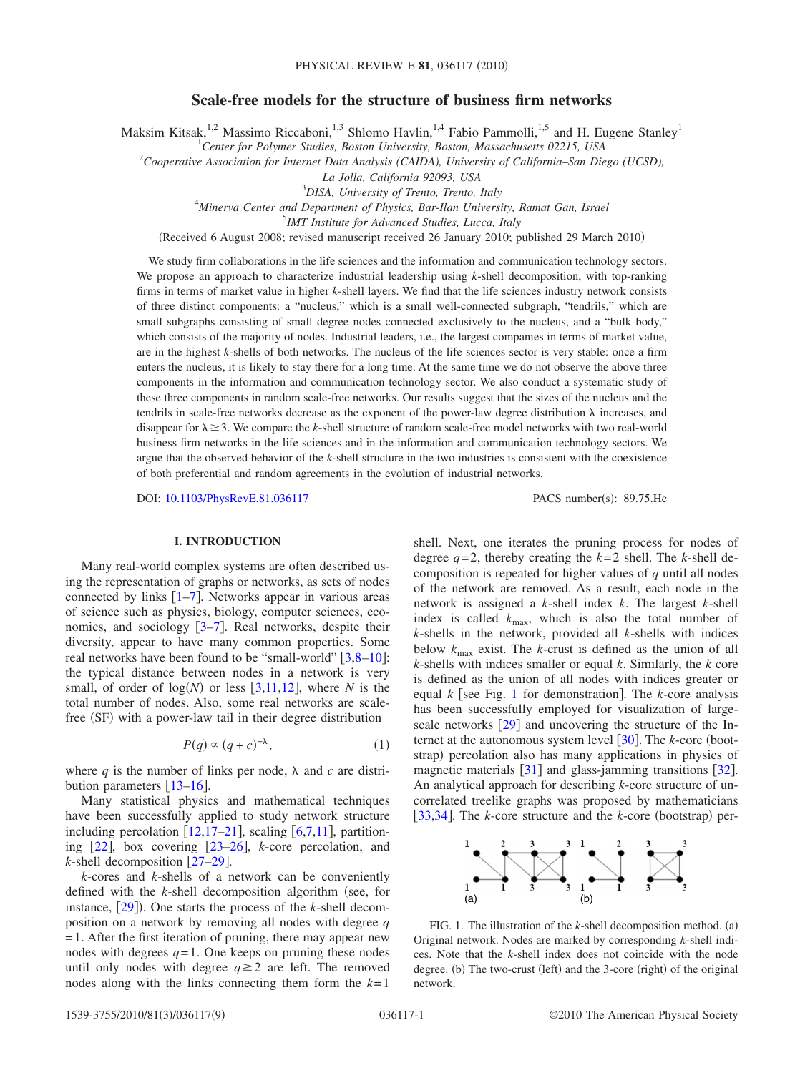# **Scale-free models for the structure of business firm networks**

Maksim Kitsak,<sup>1,2</sup> Massimo Riccaboni,<sup>1,3</sup> Shlomo Havlin,<sup>1,4</sup> Fabio Pammolli,<sup>1,5</sup> and H. Eugene Stanley<sup>1</sup>

1 *Center for Polymer Studies, Boston University, Boston, Massachusetts 02215, USA*

2 *Cooperative Association for Internet Data Analysis (CAIDA), University of California–San Diego (UCSD),*

*La Jolla, California 92093, USA*

3 *DISA, University of Trento, Trento, Italy*

4 *Minerva Center and Department of Physics, Bar-Ilan University, Ramat Gan, Israel*

5 *IMT Institute for Advanced Studies, Lucca, Italy*

(Received 6 August 2008; revised manuscript received 26 January 2010; published 29 March 2010)

We study firm collaborations in the life sciences and the information and communication technology sectors. We propose an approach to characterize industrial leadership using *k*-shell decomposition, with top-ranking firms in terms of market value in higher *k*-shell layers. We find that the life sciences industry network consists of three distinct components: a "nucleus," which is a small well-connected subgraph, "tendrils," which are small subgraphs consisting of small degree nodes connected exclusively to the nucleus, and a "bulk body," which consists of the majority of nodes. Industrial leaders, i.e., the largest companies in terms of market value, are in the highest *k*-shells of both networks. The nucleus of the life sciences sector is very stable: once a firm enters the nucleus, it is likely to stay there for a long time. At the same time we do not observe the above three components in the information and communication technology sector. We also conduct a systematic study of these three components in random scale-free networks. Our results suggest that the sizes of the nucleus and the tendrils in scale-free networks decrease as the exponent of the power-law degree distribution  $\lambda$  increases, and disappear for  $\lambda \geq 3$ . We compare the *k*-shell structure of random scale-free model networks with two real-world business firm networks in the life sciences and in the information and communication technology sectors. We argue that the observed behavior of the *k*-shell structure in the two industries is consistent with the coexistence of both preferential and random agreements in the evolution of industrial networks.

DOI: [10.1103/PhysRevE.81.036117](http://dx.doi.org/10.1103/PhysRevE.81.036117)

PACS number(s): 89.75.Hc

# **I. INTRODUCTION**

Many real-world complex systems are often described using the representation of graphs or networks, as sets of nodes connected by links  $[1–7]$  $[1–7]$  $[1–7]$  $[1–7]$ . Networks appear in various areas of science such as physics, biology, computer sciences, economics, and sociology  $\sqrt{3}$  $\sqrt{3}$  $\sqrt{3}$ [–7](#page-7-1). Real networks, despite their diversity, appear to have many common properties. Some real networks have been found to be "small-world"  $[3,8-10]$  $[3,8-10]$  $[3,8-10]$  $[3,8-10]$ : the typical distance between nodes in a network is very small, of order of  $log(N)$  or less  $[3,11,12]$  $[3,11,12]$  $[3,11,12]$  $[3,11,12]$  $[3,11,12]$ , where *N* is the total number of nodes. Also, some real networks are scalefree (SF) with a power-law tail in their degree distribution

$$
P(q) \propto (q+c)^{-\lambda},\tag{1}
$$

where *q* is the number of links per node,  $\lambda$  and *c* are distribution parameters  $\left[13-16\right]$  $\left[13-16\right]$  $\left[13-16\right]$ .

Many statistical physics and mathematical techniques have been successfully applied to study network structure including percolation  $[12,17-21]$  $[12,17-21]$  $[12,17-21]$  $[12,17-21]$  $[12,17-21]$ , scaling  $[6,7,11]$  $[6,7,11]$  $[6,7,11]$  $[6,7,11]$  $[6,7,11]$ , partitioning [22](#page-7-12), box covering [23–](#page-7-13)[26](#page-7-14), *k*-core percolation, and *k*-shell decomposition  $\left[27-29\right]$  $\left[27-29\right]$  $\left[27-29\right]$ .

*k*-cores and *k*-shells of a network can be conveniently defined with the *k*-shell decomposition algorithm (see, for instance,  $[29]$  $[29]$  $[29]$ ). One starts the process of the *k*-shell decomposition on a network by removing all nodes with degree *q*  $= 1$ . After the first iteration of pruning, there may appear new nodes with degrees  $q = 1$ . One keeps on pruning these nodes until only nodes with degree  $q \geq 2$  are left. The removed nodes along with the links connecting them form the  $k=1$  shell. Next, one iterates the pruning process for nodes of degree  $q=2$ , thereby creating the  $k=2$  shell. The *k*-shell decomposition is repeated for higher values of *q* until all nodes of the network are removed. As a result, each node in the network is assigned a *k*-shell index *k*. The largest *k*-shell index is called *k*max, which is also the total number of *k*-shells in the network, provided all *k*-shells with indices below *k*max exist. The *k*-crust is defined as the union of all *k*-shells with indices smaller or equal *k*. Similarly, the *k* core is defined as the union of all nodes with indices greater or equal  $k$  see Fig. [1](#page-0-0) for demonstration. The  $k$ -core analysis has been successfully employed for visualization of largescale networks  $\lceil 29 \rceil$  $\lceil 29 \rceil$  $\lceil 29 \rceil$  and uncovering the structure of the In-ternet at the autonomous system level [[30](#page-7-17)]. The *k*-core (bootstrap) percolation also has many applications in physics of magnetic materials  $\lceil 31 \rceil$  $\lceil 31 \rceil$  $\lceil 31 \rceil$  and glass-jamming transitions  $\lceil 32 \rceil$  $\lceil 32 \rceil$  $\lceil 32 \rceil$ . An analytical approach for describing *k*-core structure of uncorrelated treelike graphs was proposed by mathematicians [ $33,34$  $33,34$ ]. The *k*-core structure and the *k*-core (bootstrap) per-

<span id="page-0-0"></span>

FIG. 1. The illustration of the *k*-shell decomposition method. (a) Original network. Nodes are marked by corresponding *k*-shell indices. Note that the *k*-shell index does not coincide with the node degree. (b) The two-crust (left) and the 3-core (right) of the original network.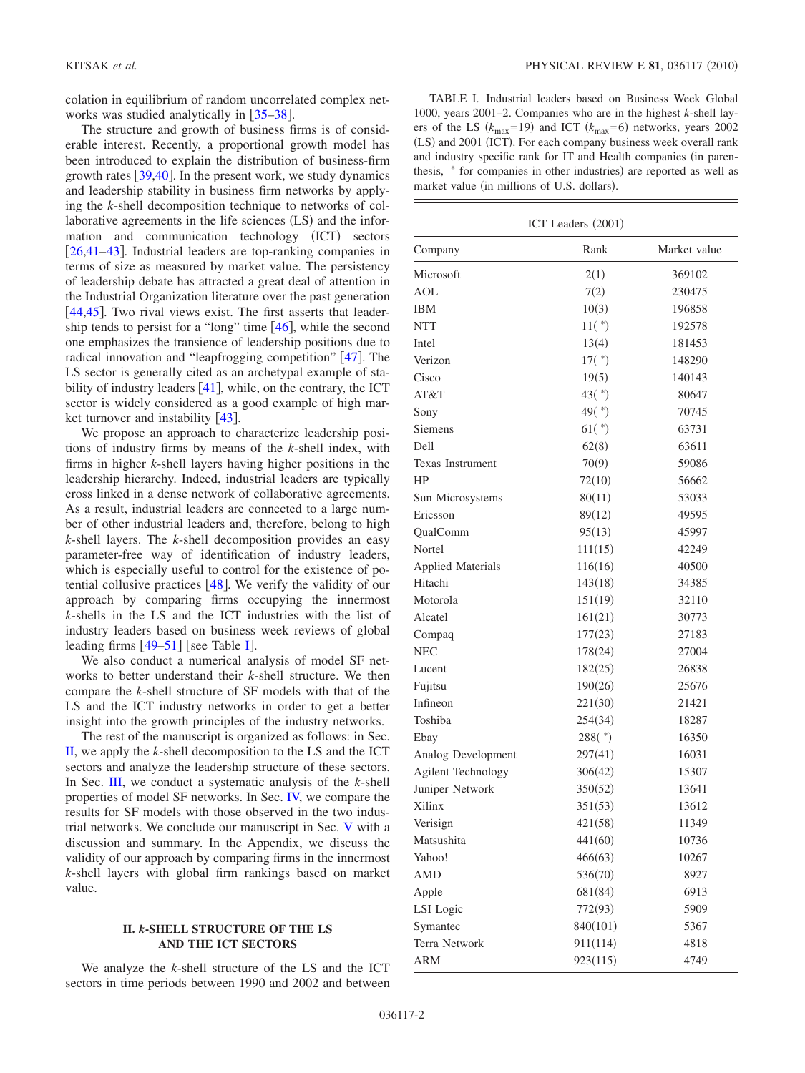colation in equilibrium of random uncorrelated complex networks was studied analytically in  $\left[35-38\right]$  $\left[35-38\right]$  $\left[35-38\right]$ .

The structure and growth of business firms is of considerable interest. Recently, a proportional growth model has been introduced to explain the distribution of business-firm growth rates  $\left[39,40\right]$  $\left[39,40\right]$  $\left[39,40\right]$  $\left[39,40\right]$ . In the present work, we study dynamics and leadership stability in business firm networks by applying the *k*-shell decomposition technique to networks of collaborative agreements in the life sciences (LS) and the information and communication technology (ICT) sectors [[26](#page-7-14)[,41–](#page-7-26)[43](#page-7-27)]. Industrial leaders are top-ranking companies in terms of size as measured by market value. The persistency of leadership debate has attracted a great deal of attention in the Industrial Organization literature over the past generation [[44](#page-7-28)[,45](#page-7-29)]. Two rival views exist. The first asserts that leadership tends to persist for a "long" time  $[46]$  $[46]$  $[46]$ , while the second one emphasizes the transience of leadership positions due to radical innovation and "leapfrogging competition"  $[47]$  $[47]$  $[47]$ . The LS sector is generally cited as an archetypal example of stability of industry leaders  $[41]$  $[41]$  $[41]$ , while, on the contrary, the ICT sector is widely considered as a good example of high market turnover and instability  $[43]$  $[43]$  $[43]$ .

We propose an approach to characterize leadership positions of industry firms by means of the *k*-shell index, with firms in higher *k*-shell layers having higher positions in the leadership hierarchy. Indeed, industrial leaders are typically cross linked in a dense network of collaborative agreements. As a result, industrial leaders are connected to a large number of other industrial leaders and, therefore, belong to high *k*-shell layers. The *k*-shell decomposition provides an easy parameter-free way of identification of industry leaders, which is especially useful to control for the existence of potential collusive practices  $[48]$  $[48]$  $[48]$ . We verify the validity of our approach by comparing firms occupying the innermost *k*-shells in the LS and the ICT industries with the list of industry leaders based on business week reviews of global leading firms  $[49-51]$  $[49-51]$  $[49-51]$  [see Table [I](#page-1-0)].

We also conduct a numerical analysis of model SF networks to better understand their *k*-shell structure. We then compare the *k*-shell structure of SF models with that of the LS and the ICT industry networks in order to get a better insight into the growth principles of the industry networks.

The rest of the manuscript is organized as follows: in Sec. [II,](#page-1-1) we apply the *k*-shell decomposition to the LS and the ICT sectors and analyze the leadership structure of these sectors. In Sec. [III,](#page-3-0) we conduct a systematic analysis of the *k*-shell properties of model SF networks. In Sec. [IV,](#page-5-0) we compare the results for SF models with those observed in the two industrial networks. We conclude our manuscript in Sec. [V](#page-6-0) with a discussion and summary. In the Appendix, we discuss the validity of our approach by comparing firms in the innermost *k*-shell layers with global firm rankings based on market value.

### **II.** *k***-SHELL STRUCTURE OF THE LS AND THE ICT SECTORS**

<span id="page-1-1"></span>We analyze the *k*-shell structure of the LS and the ICT sectors in time periods between 1990 and 2002 and between

<span id="page-1-0"></span>TABLE I. Industrial leaders based on Business Week Global 1000, years 2001–2. Companies who are in the highest *k*-shell layers of the LS  $(k_{\text{max}}=19)$  and ICT  $(k_{\text{max}}=6)$  networks, years 2002 (LS) and 2001 (ICT). For each company business week overall rank and industry specific rank for IT and Health companies (in parenthesis,  $*$  for companies in other industries) are reported as well as market value (in millions of U.S. dollars).

| ICT Leaders (2001)        |           |              |  |  |
|---------------------------|-----------|--------------|--|--|
| Company                   | Rank      | Market value |  |  |
| Microsoft                 | 2(1)      | 369102       |  |  |
| AOL                       | 7(2)      | 230475       |  |  |
| IBM                       | 10(3)     | 196858       |  |  |
| NTT                       | $11($ *)  | 192578       |  |  |
| Intel                     | 13(4)     | 181453       |  |  |
| Verizon                   | $17($ *)  | 148290       |  |  |
| Cisco                     | 19(5)     | 140143       |  |  |
| AT&T                      | $43($ *)  | 80647        |  |  |
| Sony                      | $49(*)$   | 70745        |  |  |
| Siemens                   | $61($ *)  | 63731        |  |  |
| Dell                      | 62(8)     | 63611        |  |  |
| Texas Instrument          | 70(9)     | 59086        |  |  |
| ΗP                        | 72(10)    | 56662        |  |  |
| Sun Microsystems          | 80(11)    | 53033        |  |  |
| Ericsson                  | 89(12)    | 49595        |  |  |
| <b>OualComm</b>           | 95(13)    | 45997        |  |  |
| Nortel                    | 111(15)   | 42249        |  |  |
| <b>Applied Materials</b>  | 116(16)   | 40500        |  |  |
| Hitachi                   | 143(18)   | 34385        |  |  |
| Motorola                  | 151(19)   | 32110        |  |  |
| Alcatel                   | 161(21)   | 30773        |  |  |
| Compaq                    | 177(23)   | 27183        |  |  |
| NEC                       | 178(24)   | 27004        |  |  |
| Lucent                    | 182(25)   | 26838        |  |  |
| Fujitsu                   | 190(26)   | 25676        |  |  |
| Infineon                  | 221(30)   | 21421        |  |  |
| Toshiba                   | 254(34)   | 18287        |  |  |
| Ebay                      | $288($ *) | 16350        |  |  |
| Analog Development        | 297(41)   | 16031        |  |  |
| <b>Agilent Technology</b> | 306(42)   | 15307        |  |  |
| Juniper Network           | 350(52)   | 13641        |  |  |
| Xilinx                    | 351(53)   | 13612        |  |  |
| Verisign                  | 421(58)   | 11349        |  |  |
| Matsushita                | 441(60)   | 10736        |  |  |
| Yahoo!                    | 466(63)   | 10267        |  |  |
| AMD                       | 536(70)   | 8927         |  |  |
| Apple                     | 681(84)   | 6913         |  |  |
| LSI Logic                 | 772(93)   | 5909         |  |  |
| Symantec                  | 840(101)  | 5367         |  |  |
| Terra Network             | 911(114)  | 4818         |  |  |
| ARM                       | 923(115)  | 4749         |  |  |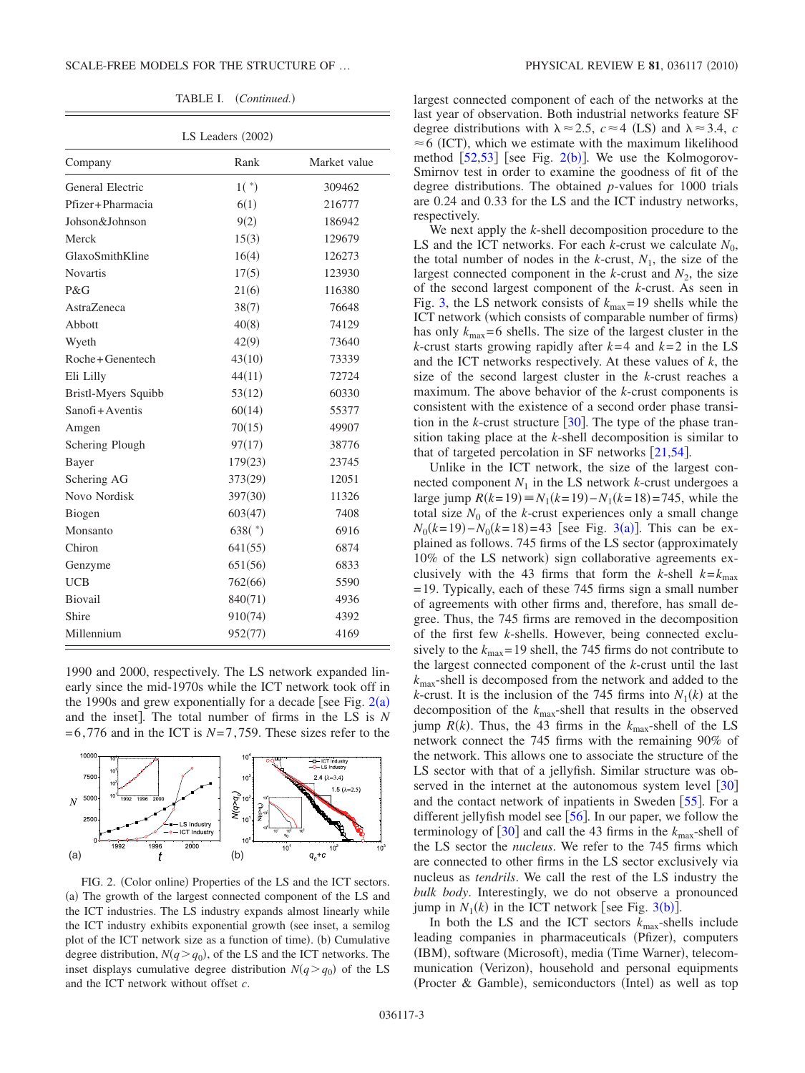TABLE I. *(Continued.)* 

| LS Leaders $(2002)$ |             |              |  |
|---------------------|-------------|--------------|--|
| Company             | Rank        | Market value |  |
| General Electric    | $1($ *)     | 309462       |  |
| Pfizer+Pharmacia    | 6(1)        | 216777       |  |
| Johson&Johnson      | 9(2)        | 186942       |  |
| Merck               | 15(3)       | 129679       |  |
| GlaxoSmithKline     | 16(4)       | 126273       |  |
| <b>Novartis</b>     | 17(5)       | 123930       |  |
| P&G                 | 21(6)       | 116380       |  |
| AstraZeneca         | 38(7)       | 76648        |  |
| Abbott              | 40(8)       | 74129        |  |
| Wyeth               | 42(9)       | 73640        |  |
| Roche+Genentech     | 43(10)      | 73339        |  |
| Eli Lilly           | 44(11)      | 72724        |  |
| Bristl-Myers Squibb | 53(12)      | 60330        |  |
| Sanofi+Aventis      | 60(14)      | 55377        |  |
| Amgen               | 70(15)      | 49907        |  |
| Schering Plough     | 97(17)      | 38776        |  |
| Bayer               | 179(23)     | 23745        |  |
| Schering AG         | 373(29)     | 12051        |  |
| Novo Nordisk        | 397(30)     | 11326        |  |
| Biogen              | 603(47)     | 7408         |  |
| Monsanto            | $638(^{*})$ | 6916         |  |
| Chiron              | 641(55)     | 6874         |  |
| Genzyme             | 651(56)     | 6833         |  |
| <b>UCB</b>          | 762(66)     | 5590         |  |
| <b>Biovail</b>      | 840(71)     | 4936         |  |
| Shire               | 910(74)     | 4392         |  |
| Millennium          | 952(77)     | 4169         |  |

1990 and 2000, respectively. The LS network expanded linearly since the mid-1970s while the ICT network took off in the 1990s and grew exponentially for a decade [see Fig.  $2(a)$  $2(a)$ and the inset]. The total number of firms in the LS is N  $= 6,776$  and in the ICT is  $N=7,759$ . These sizes refer to the

<span id="page-2-0"></span>

FIG. 2. (Color online) Properties of the LS and the ICT sectors. (a) The growth of the largest connected component of the LS and the ICT industries. The LS industry expands almost linearly while the ICT industry exhibits exponential growth (see inset, a semilog plot of the ICT network size as a function of time). (b) Cumulative degree distribution,  $N(q > q_0)$ , of the LS and the ICT networks. The inset displays cumulative degree distribution  $N(q>q_0)$  of the LS and the ICT network without offset *c*.

largest connected component of each of the networks at the last year of observation. Both industrial networks feature SF degree distributions with  $\lambda \approx 2.5$ ,  $c \approx 4$  (LS) and  $\lambda \approx 3.4$ , *c*  $\approx$  6 (ICT), which we estimate with the maximum likelihood method  $[52,53]$  $[52,53]$  $[52,53]$  $[52,53]$  [see Fig. [2](#page-2-0)(b)]. We use the Kolmogorov-Smirnov test in order to examine the goodness of fit of the degree distributions. The obtained *p*-values for 1000 trials are 0.24 and 0.33 for the LS and the ICT industry networks, respectively.

We next apply the *k*-shell decomposition procedure to the LS and the ICT networks. For each *k*-crust we calculate  $N_0$ , the total number of nodes in the *k*-crust,  $N_1$ , the size of the largest connected component in the  $k$ -crust and  $N_2$ , the size of the second largest component of the *k*-crust. As seen in Fig. [3,](#page-3-1) the LS network consists of  $k_{\text{max}}$ = 19 shells while the ICT network (which consists of comparable number of firms) has only  $k_{\text{max}} = 6$  shells. The size of the largest cluster in the *k*-crust starts growing rapidly after  $k=4$  and  $k=2$  in the LS and the ICT networks respectively. At these values of *k*, the size of the second largest cluster in the *k*-crust reaches a maximum. The above behavior of the *k*-crust components is consistent with the existence of a second order phase transition in the *k*-crust structure  $\lceil 30 \rceil$  $\lceil 30 \rceil$  $\lceil 30 \rceil$ . The type of the phase transition taking place at the *k*-shell decomposition is similar to that of targeted percolation in SF networks  $[21,54]$  $[21,54]$  $[21,54]$  $[21,54]$ .

Unlike in the ICT network, the size of the largest connected component  $N_1$  in the LS network *k*-crust undergoes a large jump  $R(k=19) \equiv N_1(k=19) - N_1(k=18) = 745$ , while the total size  $N_0$  of the *k*-crust experiences only a small change  $N_0(k=19) - N_0(k=18) = 43$  $N_0(k=19) - N_0(k=18) = 43$  [see Fig. 3(a)]. This can be explained as follows. 745 firms of the LS sector (approximately 10% of the LS network) sign collaborative agreements exclusively with the 43 firms that form the *k*-shell  $k = k_{\text{max}}$ = 19. Typically, each of these 745 firms sign a small number of agreements with other firms and, therefore, has small degree. Thus, the 745 firms are removed in the decomposition of the first few *k*-shells. However, being connected exclusively to the  $k_{\text{max}}$  = 19 shell, the 745 firms do not contribute to the largest connected component of the *k*-crust until the last  $k_{\text{max}}$ -shell is decomposed from the network and added to the *k*-crust. It is the inclusion of the 745 firms into  $N_1(k)$  at the decomposition of the *k*max-shell that results in the observed jump  $R(k)$ . Thus, the 43 firms in the  $k_{\text{max}}$ -shell of the LS network connect the 745 firms with the remaining 90% of the network. This allows one to associate the structure of the LS sector with that of a jellyfish. Similar structure was observed in the internet at the autonomous system level  $\left[30\right]$  $\left[30\right]$  $\left[30\right]$ and the contact network of inpatients in Sweden  $\lceil 55 \rceil$  $\lceil 55 \rceil$  $\lceil 55 \rceil$ . For a different jellyfish model see  $[56]$  $[56]$  $[56]$ . In our paper, we follow the terminology of  $[30]$  $[30]$  $[30]$  and call the 43 firms in the  $k_{\text{max}}$ -shell of the LS sector the *nucleus*. We refer to the 745 firms which are connected to other firms in the LS sector exclusively via nucleus as *tendrils*. We call the rest of the LS industry the *bulk body*. Interestingly, we do not observe a pronounced jump in  $N_1(k)$  in the ICT network [see Fig. [3](#page-3-1)(b)].

In both the LS and the ICT sectors  $k_{\text{max}}$ -shells include leading companies in pharmaceuticals (Pfizer), computers (IBM), software (Microsoft), media (Time Warner), telecommunication (Verizon), household and personal equipments (Procter & Gamble), semiconductors (Intel) as well as top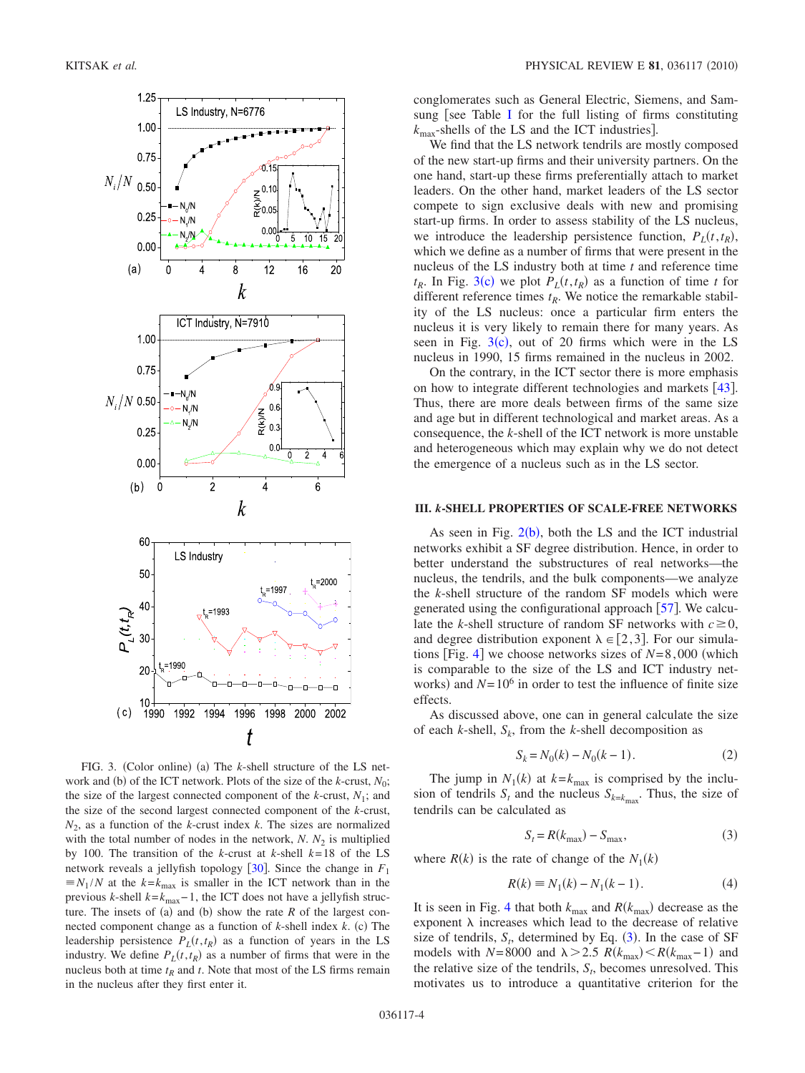<span id="page-3-1"></span>

FIG. 3. (Color online) (a) The *k*-shell structure of the LS network and (b) of the ICT network. Plots of the size of the *k*-crust,  $N_0$ ; the size of the largest connected component of the  $k$ -crust,  $N_1$ ; and the size of the second largest connected component of the *k*-crust,  $N_2$ , as a function of the *k*-crust index *k*. The sizes are normalized with the total number of nodes in the network,  $N$ .  $N_2$  is multiplied by 100. The transition of the *k*-crust at *k*-shell *k*= 18 of the LS network reveals a jellyfish topology  $\left[30\right]$  $\left[30\right]$  $\left[30\right]$ . Since the change in  $F_1$  $\equiv N_1/N$  at the  $k=k_{\text{max}}$  is smaller in the ICT network than in the previous *k*-shell *k*=*k*max− 1, the ICT does not have a jellyfish structure. The insets of (a) and (b) show the rate  $R$  of the largest connected component change as a function of  $k$ -shell index  $k$ . (c) The leadership persistence  $P_L(t, t_R)$  as a function of years in the LS industry. We define  $P_L(t, t_R)$  as a number of firms that were in the nucleus both at time  $t_R$  and  $t$ . Note that most of the LS firms remain in the nucleus after they first enter it.

conglomerates such as General Electric, Siemens, and Sam-sung [see Table [I](#page-1-0) for the full listing of firms constituting  $k_{\text{max}}$ -shells of the LS and the ICT industries.

We find that the LS network tendrils are mostly composed of the new start-up firms and their university partners. On the one hand, start-up these firms preferentially attach to market leaders. On the other hand, market leaders of the LS sector compete to sign exclusive deals with new and promising start-up firms. In order to assess stability of the LS nucleus, we introduce the leadership persistence function,  $P_L(t, t_R)$ , which we define as a number of firms that were present in the nucleus of the LS industry both at time *t* and reference time  $t_R$ . In Fig. [3](#page-3-1)(c) we plot  $P_L(t, t_R)$  as a function of time *t* for different reference times  $t_R$ . We notice the remarkable stability of the LS nucleus: once a particular firm enters the nucleus it is very likely to remain there for many years. As seen in Fig.  $3(c)$  $3(c)$ , out of 20 firms which were in the LS nucleus in 1990, 15 firms remained in the nucleus in 2002.

On the contrary, in the ICT sector there is more emphasis on how to integrate different technologies and markets [[43](#page-7-27)]. Thus, there are more deals between firms of the same size and age but in different technological and market areas. As a consequence, the *k*-shell of the ICT network is more unstable and heterogeneous which may explain why we do not detect the emergence of a nucleus such as in the LS sector.

#### <span id="page-3-0"></span>**III.** *k***-SHELL PROPERTIES OF SCALE-FREE NETWORKS**

As seen in Fig.  $2(b)$  $2(b)$ , both the LS and the ICT industrial networks exhibit a SF degree distribution. Hence, in order to better understand the substructures of real networks—the nucleus, the tendrils, and the bulk components—we analyze the *k*-shell structure of the random SF models which were generated using the configurational approach  $[57]$  $[57]$  $[57]$ . We calculate the *k*-shell structure of random SF networks with  $c \ge 0$ , and degree distribution exponent  $\lambda \in [2,3]$ . For our simula-tions [Fig. [4](#page-4-0)] we choose networks sizes of  $N=8,000$  (which is comparable to the size of the LS and ICT industry networks) and  $N = 10^6$  in order to test the influence of finite size effects.

As discussed above, one can in general calculate the size of each  $k$ -shell,  $S_k$ , from the  $k$ -shell decomposition as

$$
S_k = N_0(k) - N_0(k - 1).
$$
 (2)

The jump in  $N_1(k)$  at  $k = k_{\text{max}}$  is comprised by the inclusion of tendrils  $S_t$  and the nucleus  $S_{k=k_{\text{max}}}$ . Thus, the size of tendrils can be calculated as

$$
S_t = R(k_{\text{max}}) - S_{\text{max}},\tag{3}
$$

<span id="page-3-2"></span>where  $R(k)$  is the rate of change of the  $N_1(k)$ 

$$
R(k) \equiv N_1(k) - N_1(k-1).
$$
 (4)

It is seen in Fig. [4](#page-4-0) that both  $k_{\text{max}}$  and  $R(k_{\text{max}})$  decrease as the exponent  $\lambda$  increases which lead to the decrease of relative size of tendrils,  $S_t$ , determined by Eq.  $(3)$  $(3)$  $(3)$ . In the case of SF models with *N*=8000 and  $\lambda$  > 2.5 *R*( $k_{\text{max}}$ ) < *R*( $k_{\text{max}}$ -1) and the relative size of the tendrils,  $S_t$ , becomes unresolved. This motivates us to introduce a quantitative criterion for the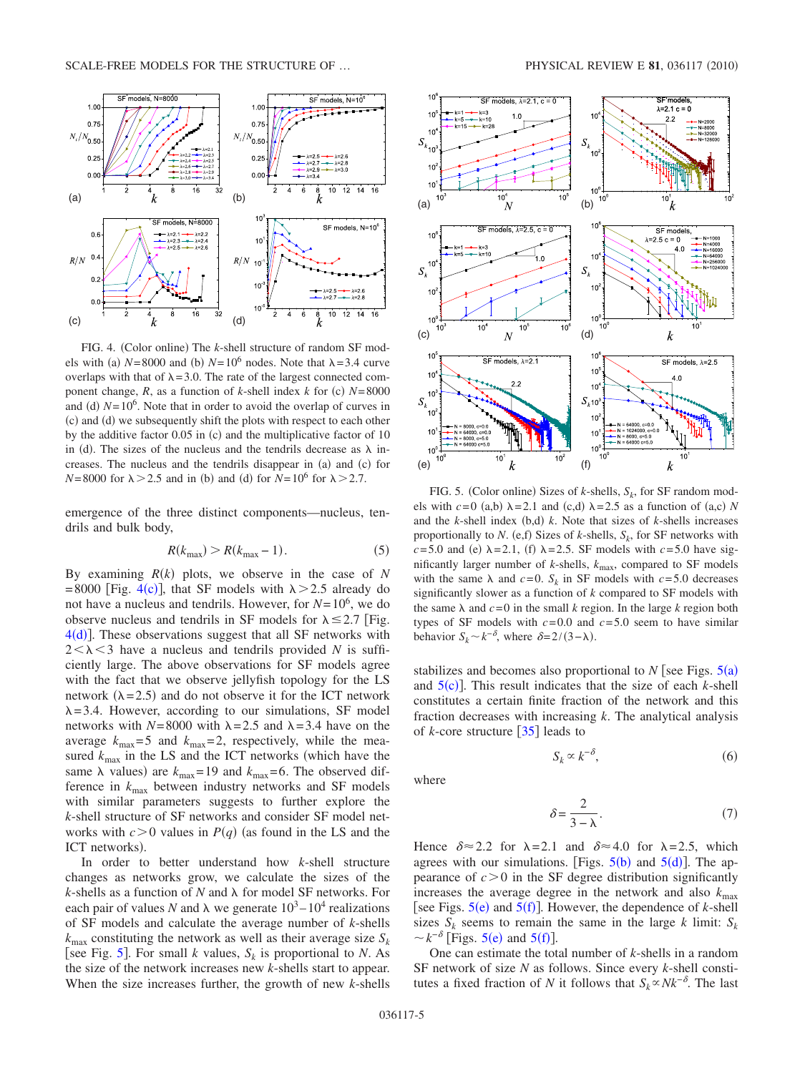<span id="page-4-0"></span>

FIG. 4. (Color online) The *k*-shell structure of random SF models with (a)  $N=8000$  and (b)  $N=10^6$  nodes. Note that  $\lambda=3.4$  curve overlaps with that of  $\lambda = 3.0$ . The rate of the largest connected component change, *R*, as a function of *k*-shell index *k* for (c)  $N=8000$ and (d)  $N=10^6$ . Note that in order to avoid the overlap of curves in (c) and (d) we subsequently shift the plots with respect to each other by the additive factor  $0.05$  in (c) and the multiplicative factor of 10 in (d). The sizes of the nucleus and the tendrils decrease as  $\lambda$  increases. The nucleus and the tendrils disappear in (a) and (c) for  $N = 8000$  for  $\lambda > 2.5$  and in (b) and (d) for  $N = 10^6$  for  $\lambda > 2.7$ .

emergence of the three distinct components—nucleus, tendrils and bulk body,

$$
R(k_{\text{max}}) > R(k_{\text{max}} - 1). \tag{5}
$$

By examining  $R(k)$  plots, we observe in the case of  $N$  $= 8000$  [Fig. [4](#page-4-0)(c)], that SF models with  $\lambda > 2.5$  already do not have a nucleus and tendrils. However, for  $N=10^6$ , we do observe nucleus and tendrils in SF models for  $\lambda \leq 2.7$  [Fig.  $4(d)$  $4(d)$ ]. These observations suggest that all SF networks with  $2<\lambda<3$  have a nucleus and tendrils provided *N* is sufficiently large. The above observations for SF models agree with the fact that we observe jellyfish topology for the LS network  $(\lambda = 2.5)$  and do not observe it for the ICT network  $\lambda = 3.4$ . However, according to our simulations, SF model networks with  $N=8000$  with  $\lambda=2.5$  and  $\lambda=3.4$  have on the average  $k_{\text{max}} = 5$  and  $k_{\text{max}} = 2$ , respectively, while the measured  $k_{\text{max}}$  in the LS and the ICT networks (which have the same  $\lambda$  values) are  $k_{\text{max}} = 19$  and  $k_{\text{max}} = 6$ . The observed difference in  $k_{\text{max}}$  between industry networks and SF models with similar parameters suggests to further explore the *k*-shell structure of SF networks and consider SF model networks with  $c > 0$  values in  $P(q)$  (as found in the LS and the ICT networks).

In order to better understand how *k*-shell structure changes as networks grow, we calculate the sizes of the  $k$ -shells as a function of  $N$  and  $\lambda$  for model SF networks. For each pair of values *N* and  $\lambda$  we generate  $10^3 - 10^4$  realizations of SF models and calculate the average number of *k*-shells  $k_{\text{max}}$  constituting the network as well as their average size  $S_k$ [see Fig. [5](#page-4-1)]. For small *k* values,  $S_k$  is proportional to *N*. As the size of the network increases new *k*-shells start to appear. When the size increases further, the growth of new *k*-shells

<span id="page-4-1"></span>

FIG. 5. (Color online) Sizes of *k*-shells,  $S_k$ , for SF random models with  $c=0$  (a,b)  $\lambda = 2.1$  and (c,d)  $\lambda = 2.5$  as a function of (a,c) N and the  $k$ -shell index  $(b,d)$   $k$ . Note that sizes of  $k$ -shells increases proportionally to *N*. (e,f) Sizes of *k*-shells,  $S_k$ , for SF networks with  $c = 5.0$  and (e)  $\lambda = 2.1$ , (f)  $\lambda = 2.5$ . SF models with  $c = 5.0$  have significantly larger number of  $k$ -shells,  $k_{\text{max}}$ , compared to SF models with the same  $\lambda$  and  $c=0$ .  $S_k$  in SF models with  $c=5.0$  decreases significantly slower as a function of *k* compared to SF models with the same  $\lambda$  and  $c = 0$  in the small *k* region. In the large *k* region both types of SF models with  $c = 0.0$  and  $c = 5.0$  seem to have similar behavior  $S_k \sim k^{-\delta}$ , where  $\delta = 2/(3-\lambda)$ .

stabilizes and becomes also proportional to  $N$  [see Figs.  $5(a)$  $5(a)$ and  $5(c)$  $5(c)$ ]. This result indicates that the size of each *k*-shell constitutes a certain finite fraction of the network and this fraction decreases with increasing *k*. The analytical analysis of *k*-core structure  $\lceil 35 \rceil$  $\lceil 35 \rceil$  $\lceil 35 \rceil$  leads to

$$
S_k \propto k^{-\delta},\tag{6}
$$

<span id="page-4-2"></span>where

$$
\delta = \frac{2}{3 - \lambda}.\tag{7}
$$

Hence  $\delta \approx 2.2$  for  $\lambda = 2.1$  and  $\delta \approx 4.0$  for  $\lambda = 2.5$ , which agrees with our simulations. [Figs.  $5(b)$  $5(b)$  and  $5(d)$ ]. The appearance of  $c > 0$  in the SF degree distribution significantly increases the average degree in the network and also  $k_{\text{max}}$ [see Figs.  $5(e)$  $5(e)$  and  $5(f)$ ]. However, the dependence of *k*-shell sizes  $S_k$  seems to remain the same in the large *k* limit:  $S_k$  $\sim k^{-\delta}$  [Figs. [5](#page-4-1)(e) and 5(f)].

One can estimate the total number of *k*-shells in a random SF network of size *N* as follows. Since every *k*-shell constitutes a fixed fraction of *N* it follows that  $S_k \propto Nk^{-\delta}$ . The last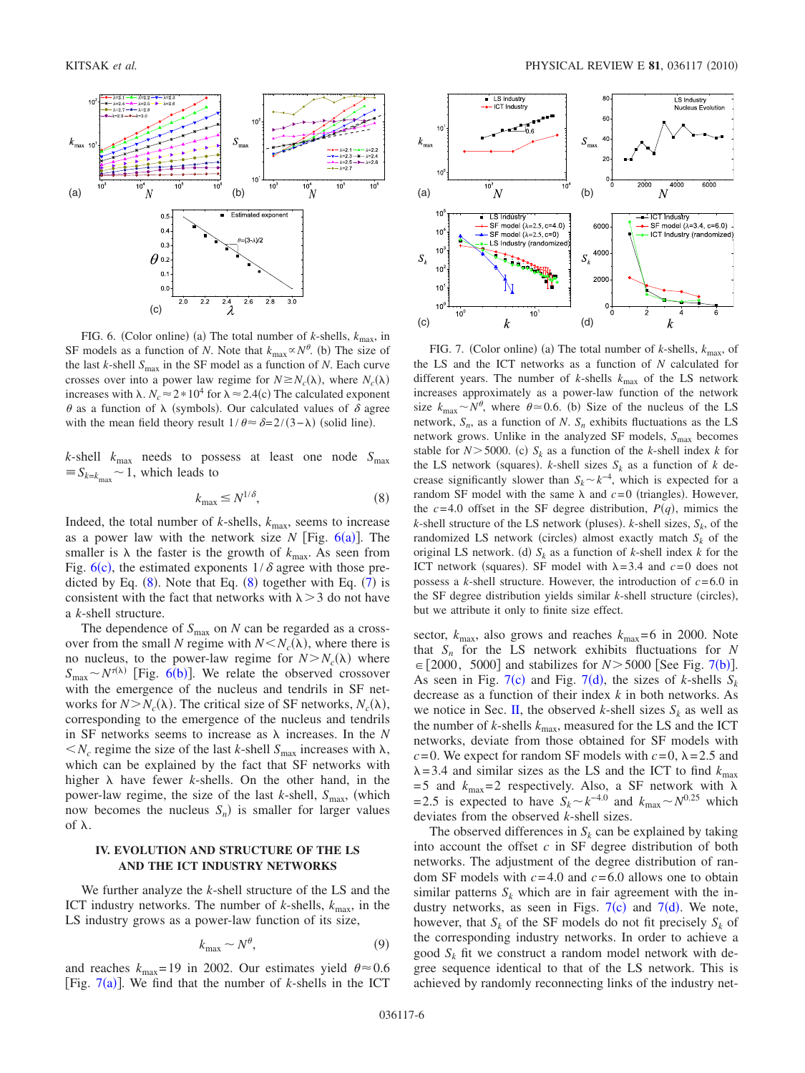<span id="page-5-1"></span>

FIG. 6. (Color online) (a) The total number of  $k$ -shells,  $k_{\text{max}}$ , in SF models as a function of *N*. Note that  $k_{\text{max}} \propto N^{\theta}$ . (b) The size of the last *k*-shell  $S_{\text{max}}$  in the SF model as a function of *N*. Each curve crosses over into a power law regime for  $N \ge N_c(\lambda)$ , where  $N_c(\lambda)$ increases with  $\lambda$ .  $N_c \approx 2*10^4$  for  $\lambda \approx 2.4$  (c) The calculated exponent  $\theta$  as a function of  $\lambda$  (symbols). Our calculated values of  $\delta$  agree with the mean field theory result  $1/\theta \approx \delta = 2/(3-\lambda)$  (solid line).

*k*-shell  $k_{\text{max}}$  needs to possess at least one node  $S_{\text{max}}$  $\equiv S_{k=k_{\text{max}}} \sim 1$ , which leads to

$$
k_{\max} \le N^{1/\delta},\tag{8}
$$

<span id="page-5-2"></span>Indeed, the total number of  $k$ -shells,  $k_{\text{max}}$ , seems to increase as a power law with the network size  $N$  [Fig.  $6(a)$  $6(a)$ ]. The smaller is  $\lambda$  the faster is the growth of  $k_{\text{max}}$ . As seen from Fig. [6](#page-5-1)(c), the estimated exponents  $1/\delta$  agree with those predicted by Eq.  $(8)$  $(8)$  $(8)$ . Note that Eq.  $(8)$  together with Eq.  $(7)$  $(7)$  $(7)$  is consistent with the fact that networks with  $\lambda > 3$  do not have a *k*-shell structure.

The dependence of  $S_{\text{max}}$  on *N* can be regarded as a crossover from the small *N* regime with  $N < N_c(\lambda)$ , where there is no nucleus, to the power-law regime for  $N > N_c(\lambda)$  where  $S_{\text{max}} \sim N^{\tau(\lambda)}$  [Fig. [6](#page-5-1)(b)]. We relate the observed crossover with the emergence of the nucleus and tendrils in SF networks for  $N > N_c(\lambda)$ . The critical size of SF networks,  $N_c(\lambda)$ , corresponding to the emergence of the nucleus and tendrils in SF networks seems to increase as  $\lambda$  increases. In the *N*  $\langle N_c \rangle$  regime the size of the last *k*-shell  $S_{\text{max}}$  increases with  $\lambda$ , which can be explained by the fact that SF networks with higher  $\lambda$  have fewer *k*-shells. On the other hand, in the power-law regime, the size of the last *k*-shell,  $S_{\text{max}}$ , (which now becomes the nucleus  $S_n$ ) is smaller for larger values of  $\lambda$ .

### <span id="page-5-0"></span>**IV. EVOLUTION AND STRUCTURE OF THE LS AND THE ICT INDUSTRY NETWORKS**

We further analyze the *k*-shell structure of the LS and the ICT industry networks. The number of  $k$ -shells,  $k_{\text{max}}$ , in the LS industry grows as a power-law function of its size,

$$
k_{\text{max}} \sim N^{\theta},\tag{9}
$$

and reaches  $k_{\text{max}}$ = 19 in 2002. Our estimates yield  $\theta \approx 0.6$ [Fig.  $7(a)$  $7(a)$ ]. We find that the number of *k*-shells in the ICT

<span id="page-5-3"></span>

FIG. 7. (Color online) (a) The total number of *k*-shells,  $k_{\text{max}}$ , of the LS and the ICT networks as a function of *N* calculated for different years. The number of  $k$ -shells  $k_{\text{max}}$  of the LS network increases approximately as a power-law function of the network size  $k_{\text{max}} \sim N^{\theta}$ , where  $\theta \approx 0.6$ . (b) Size of the nucleus of the LS network,  $S_n$ , as a function of *N*.  $S_n$  exhibits fluctuations as the LS network grows. Unlike in the analyzed SF models,  $S_{\text{max}}$  becomes stable for  $N > 5000$ . (c)  $S_k$  as a function of the *k*-shell index *k* for the LS network (squares). *k*-shell sizes  $S_k$  as a function of *k* decrease significantly slower than  $S_k \sim k^{-4}$ , which is expected for a random SF model with the same  $\lambda$  and  $c=0$  (triangles). However, the  $c = 4.0$  offset in the SF degree distribution,  $P(q)$ , mimics the  $k$ -shell structure of the LS network (pluses).  $k$ -shell sizes,  $S_k$ , of the randomized LS network (circles) almost exactly match  $S_k$  of the original LS network. (d)  $S_k$  as a function of *k*-shell index *k* for the ICT network (squares). SF model with  $\lambda = 3.4$  and  $c = 0$  does not possess a *k*-shell structure. However, the introduction of  $c = 6.0$  in the SF degree distribution yields similar *k*-shell structure (circles), but we attribute it only to finite size effect.

sector,  $k_{\text{max}}$ , also grows and reaches  $k_{\text{max}} = 6$  in 2000. Note that  $S_n$  for the LS network exhibits fluctuations for *N*  $\in$  [2000, 5000] and stabilizes for *N* > 5000 [See Fig. [7](#page-5-3)(b)]. As seen in Fig. [7](#page-5-3)(c) and Fig. 7(d), the sizes of *k*-shells  $S_k$ decrease as a function of their index *k* in both networks. As we notice in Sec. [II,](#page-1-1) the observed *k*-shell sizes  $S_k$  as well as the number of  $k$ -shells  $k_{\text{max}}$ , measured for the LS and the ICT networks, deviate from those obtained for SF models with  $c = 0$ . We expect for random SF models with  $c = 0$ ,  $\lambda = 2.5$  and  $\lambda$ = 3.4 and similar sizes as the LS and the ICT to find  $k_{\text{max}}$  $= 5$  and  $k_{\text{max}} = 2$  respectively. Also, a SF network with  $\lambda$ = 2.5 is expected to have  $S_k \sim k^{-4.0}$  and  $k_{\text{max}} \sim N^{0.25}$  which deviates from the observed *k*-shell sizes.

The observed differences in  $S_k$  can be explained by taking into account the offset *c* in SF degree distribution of both networks. The adjustment of the degree distribution of random SF models with  $c = 4.0$  and  $c = 6.0$  allows one to obtain similar patterns  $S_k$  which are in fair agreement with the industry networks, as seen in Figs.  $7(c)$  $7(c)$  and  $7(d)$ . We note, however, that  $S_k$  of the SF models do not fit precisely  $S_k$  of the corresponding industry networks. In order to achieve a good  $S_k$  fit we construct a random model network with degree sequence identical to that of the LS network. This is achieved by randomly reconnecting links of the industry net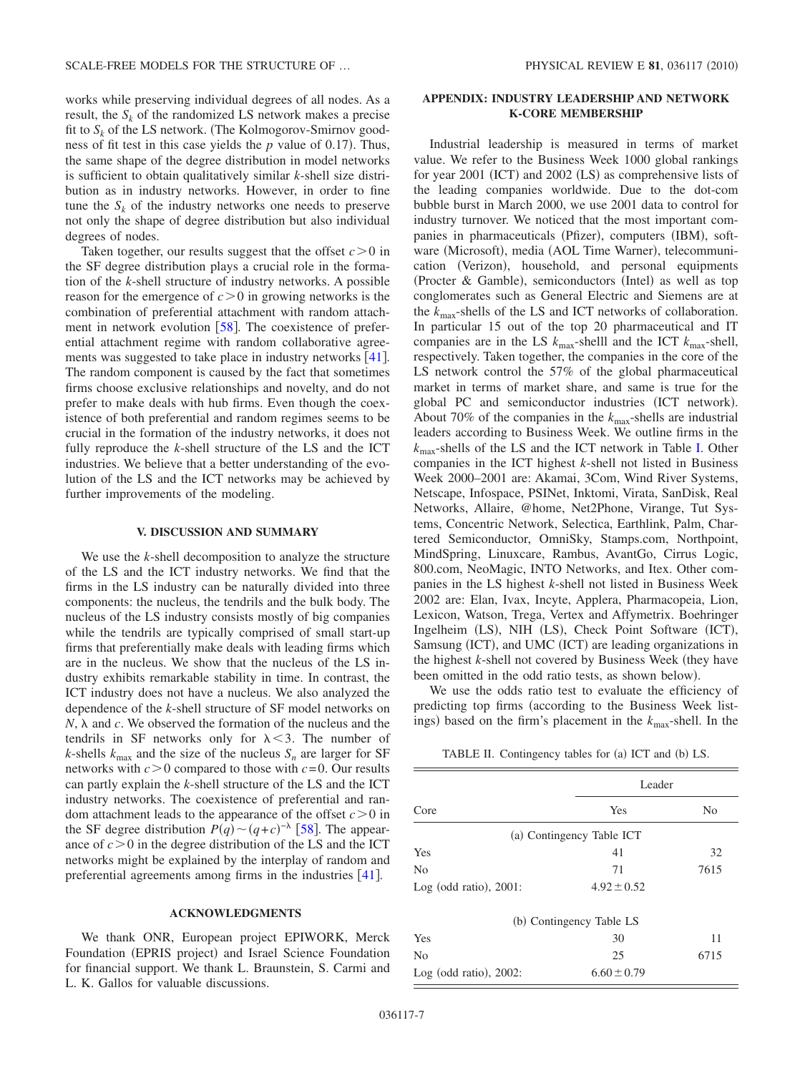works while preserving individual degrees of all nodes. As a result, the  $S_k$  of the randomized LS network makes a precise fit to  $S_k$  of the LS network. (The Kolmogorov-Smirnov goodness of fit test in this case yields the  $p$  value of 0.17). Thus, the same shape of the degree distribution in model networks is sufficient to obtain qualitatively similar *k*-shell size distribution as in industry networks. However, in order to fine tune the  $S_k$  of the industry networks one needs to preserve not only the shape of degree distribution but also individual degrees of nodes.

Taken together, our results suggest that the offset  $c > 0$  in the SF degree distribution plays a crucial role in the formation of the *k*-shell structure of industry networks. A possible reason for the emergence of  $c > 0$  in growing networks is the combination of preferential attachment with random attachment in network evolution  $\lceil 58 \rceil$  $\lceil 58 \rceil$  $\lceil 58 \rceil$ . The coexistence of preferential attachment regime with random collaborative agreements was suggested to take place in industry networks  $[41]$  $[41]$  $[41]$ . The random component is caused by the fact that sometimes firms choose exclusive relationships and novelty, and do not prefer to make deals with hub firms. Even though the coexistence of both preferential and random regimes seems to be crucial in the formation of the industry networks, it does not fully reproduce the *k*-shell structure of the LS and the ICT industries. We believe that a better understanding of the evolution of the LS and the ICT networks may be achieved by further improvements of the modeling.

### **V. DISCUSSION AND SUMMARY**

<span id="page-6-0"></span>We use the *k*-shell decomposition to analyze the structure of the LS and the ICT industry networks. We find that the firms in the LS industry can be naturally divided into three components: the nucleus, the tendrils and the bulk body. The nucleus of the LS industry consists mostly of big companies while the tendrils are typically comprised of small start-up firms that preferentially make deals with leading firms which are in the nucleus. We show that the nucleus of the LS industry exhibits remarkable stability in time. In contrast, the ICT industry does not have a nucleus. We also analyzed the dependence of the *k*-shell structure of SF model networks on  $N$ ,  $\lambda$  and  $c$ . We observed the formation of the nucleus and the tendrils in SF networks only for  $\lambda < 3$ . The number of *k*-shells  $k_{\text{max}}$  and the size of the nucleus  $S_n$  are larger for SF networks with  $c > 0$  compared to those with  $c = 0$ . Our results can partly explain the *k*-shell structure of the LS and the ICT industry networks. The coexistence of preferential and random attachment leads to the appearance of the offset  $c > 0$  in the SF degree distribution  $P(q) \sim (q+c)^{-\lambda}$  [[58](#page-8-7)]. The appearance of  $c > 0$  in the degree distribution of the LS and the ICT networks might be explained by the interplay of random and preferential agreements among firms in the industries  $[41]$  $[41]$  $[41]$ .

### **ACKNOWLEDGMENTS**

We thank ONR, European project EPIWORK, Merck Foundation (EPRIS project) and Israel Science Foundation for financial support. We thank L. Braunstein, S. Carmi and L. K. Gallos for valuable discussions.

## **APPENDIX: INDUSTRY LEADERSHIP AND NETWORK K-CORE MEMBERSHIP**

Industrial leadership is measured in terms of market value. We refer to the Business Week 1000 global rankings for year 2001 (ICT) and 2002 (LS) as comprehensive lists of the leading companies worldwide. Due to the dot-com bubble burst in March 2000, we use 2001 data to control for industry turnover. We noticed that the most important companies in pharmaceuticals (Pfizer), computers (IBM), software (Microsoft), media (AOL Time Warner), telecommunication (Verizon), household, and personal equipments (Procter & Gamble), semiconductors (Intel) as well as top conglomerates such as General Electric and Siemens are at the  $k_{\text{max}}$ -shells of the LS and ICT networks of collaboration. In particular 15 out of the top 20 pharmaceutical and IT companies are in the LS *k*max-shelll and the ICT *k*max-shell, respectively. Taken together, the companies in the core of the LS network control the 57% of the global pharmaceutical market in terms of market share, and same is true for the global PC and semiconductor industries (ICT network). About 70% of the companies in the  $k_{\text{max}}$ -shells are industrial leaders according to Business Week. We outline firms in the *k*max-shells of the LS and the ICT network in Table [I.](#page-1-0) Other companies in the ICT highest *k*-shell not listed in Business Week 2000–2001 are: Akamai, 3Com, Wind River Systems, Netscape, Infospace, PSINet, Inktomi, Virata, SanDisk, Real Networks, Allaire, @home, Net2Phone, Virange, Tut Systems, Concentric Network, Selectica, Earthlink, Palm, Chartered Semiconductor, OmniSky, Stamps.com, Northpoint, MindSpring, Linuxcare, Rambus, AvantGo, Cirrus Logic, 800.com, NeoMagic, INTO Networks, and Itex. Other companies in the LS highest *k*-shell not listed in Business Week 2002 are: Elan, Ivax, Incyte, Applera, Pharmacopeia, Lion, Lexicon, Watson, Trega, Vertex and Affymetrix. Boehringer Ingelheim (LS), NIH (LS), Check Point Software (ICT), Samsung (ICT), and UMC (ICT) are leading organizations in the highest *k*-shell not covered by Business Week (they have been omitted in the odd ratio tests, as shown below).

We use the odds ratio test to evaluate the efficiency of predicting top firms (according to the Business Week listings) based on the firm's placement in the  $k_{\text{max}}$ -shell. In the

TABLE II. Contingency tables for (a) ICT and (b) LS.

<span id="page-6-1"></span>

|                           | Leader                    |                |
|---------------------------|---------------------------|----------------|
| Core                      | Yes                       | N <sub>0</sub> |
|                           | (a) Contingency Table ICT |                |
| Yes                       | 41                        | 32             |
| No                        | 71                        | 7615           |
| Log (odd ratio), $2001$ : | $4.92 \pm 0.52$           |                |
|                           | (b) Contingency Table LS  |                |
| Yes                       | 30                        | 11             |
| No                        | 25                        | 6715           |
| Log (odd ratio), $2002$ : | $6.60 \pm 0.79$           |                |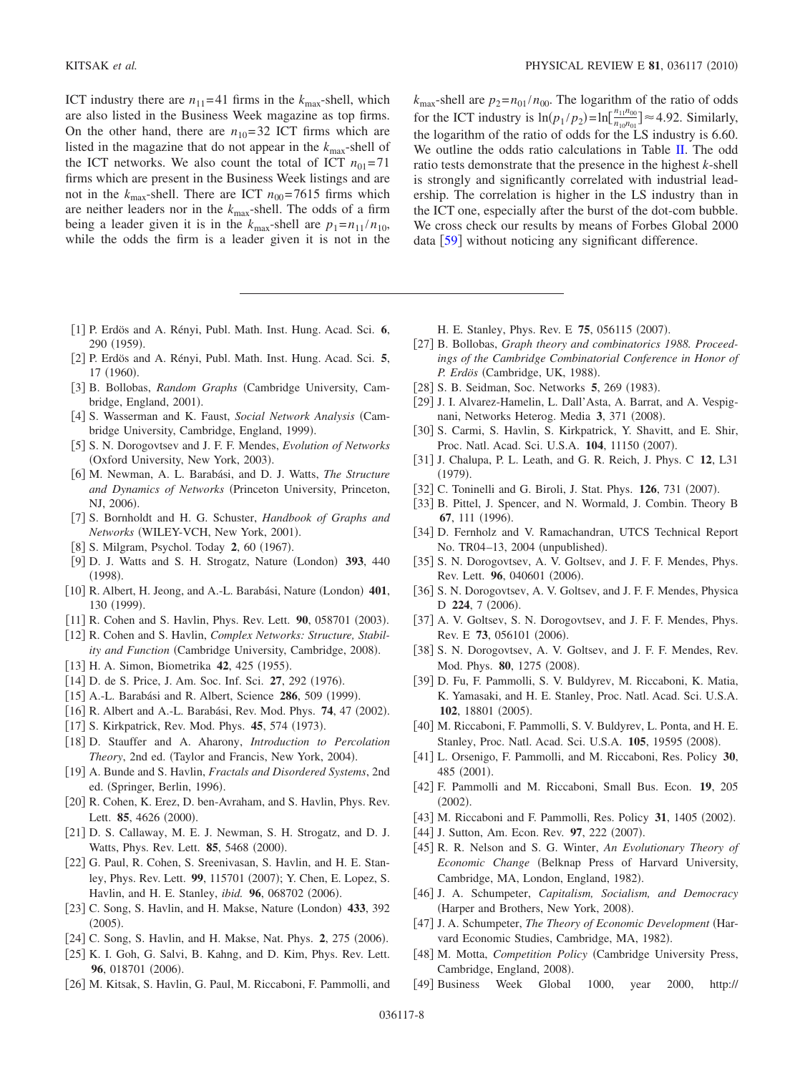ICT industry there are  $n_{11}$ = 41 firms in the  $k_{\text{max}}$ -shell, which are also listed in the Business Week magazine as top firms. On the other hand, there are  $n_{10}=32$  ICT firms which are listed in the magazine that do not appear in the  $k_{\text{max}}$ -shell of the ICT networks. We also count the total of ICT  $n_{01}=71$ firms which are present in the Business Week listings and are not in the  $k_{\text{max}}$ -shell. There are ICT  $n_{00} = 7615$  firms which are neither leaders nor in the *k*max-shell. The odds of a firm being a leader given it is in the  $k_{\text{max}}$ -shell are  $p_1 = n_{11}/n_{10}$ , while the odds the firm is a leader given it is not in the

- <span id="page-7-0"></span>1 P. Erdös and A. Rényi, Publ. Math. Inst. Hung. Acad. Sci. **6**, 290 (1959).
- 2 P. Erdös and A. Rényi, Publ. Math. Inst. Hung. Acad. Sci. **5**, 17 (1960).
- <span id="page-7-2"></span>[3] B. Bollobas, *Random Graphs* (Cambridge University, Cambridge, England, 2001).
- 4 S. Wasserman and K. Faust, *Social Network Analysis* Cambridge University, Cambridge, England, 1999).
- 5 S. N. Dorogovtsev and J. F. F. Mendes, *Evolution of Networks* (Oxford University, New York, 2003).
- <span id="page-7-11"></span>6 M. Newman, A. L. Barabási, and D. J. Watts, *The Structure* and Dynamics of Networks (Princeton University, Princeton, NJ, 2006).
- <span id="page-7-1"></span>7 S. Bornholdt and H. G. Schuster, *Handbook of Graphs and* Networks (WILEY-VCH, New York, 2001).
- <span id="page-7-3"></span>[8] S. Milgram, Psychol. Today 2, 60 (1967).
- [9] D. J. Watts and S. H. Strogatz, Nature (London) 393, 440  $(1998).$
- <span id="page-7-4"></span>[10] R. Albert, H. Jeong, and A.-L. Barabási, Nature (London) 401, 130 (1999).
- <span id="page-7-5"></span>[11] R. Cohen and S. Havlin, Phys. Rev. Lett. **90**, 058701 (2003).
- <span id="page-7-6"></span>[12] R. Cohen and S. Havlin, *Complex Networks: Structure, Stabil*ity and Function (Cambridge University, Cambridge, 2008).
- <span id="page-7-7"></span>[13] H. A. Simon, Biometrika **42**, 425 (1955).
- [14] D. de S. Price, J. Am. Soc. Inf. Sci. 27, 292 (1976).
- [15] A.-L. Barabási and R. Albert, Science 286, 509 (1999).
- <span id="page-7-8"></span>[16] R. Albert and A.-L. Barabási, Rev. Mod. Phys. **74**, 47 (2002).
- <span id="page-7-9"></span>[17] S. Kirkpatrick, Rev. Mod. Phys. **45**, 574 (1973).
- 18 D. Stauffer and A. Aharony, *Introduction to Percolation* Theory, 2nd ed. (Taylor and Francis, New York, 2004).
- 19 A. Bunde and S. Havlin, *Fractals and Disordered Systems*, 2nd ed. (Springer, Berlin, 1996).
- [20] R. Cohen, K. Erez, D. ben-Avraham, and S. Havlin, Phys. Rev. Lett. **85**, 4626 (2000).
- <span id="page-7-10"></span>[21] D. S. Callaway, M. E. J. Newman, S. H. Strogatz, and D. J. Watts, Phys. Rev. Lett. **85**, 5468 (2000).
- <span id="page-7-12"></span>22 G. Paul, R. Cohen, S. Sreenivasan, S. Havlin, and H. E. Stanley, Phys. Rev. Lett. 99, 115701 (2007); Y. Chen, E. Lopez, S. Havlin, and H. E. Stanley, *ibid.* 96, 068702 (2006).
- <span id="page-7-13"></span>[23] C. Song, S. Havlin, and H. Makse, Nature (London) 433, 392  $(2005).$
- [24] C. Song, S. Havlin, and H. Makse, Nat. Phys. 2, 275 (2006).
- [25] K. I. Goh, G. Salvi, B. Kahng, and D. Kim, Phys. Rev. Lett. **96**, 018701 (2006).
- <span id="page-7-14"></span>[26] M. Kitsak, S. Havlin, G. Paul, M. Riccaboni, F. Pammolli, and

 $k_{\text{max}}$ -shell are  $p_2 = n_{01}/n_{00}$ . The logarithm of the ratio of odds for the ICT industry is  $\ln(p_1 / p_2) = \ln[\frac{n_{11} n_{00}}{n_{10} n_{01}}] \approx 4.92$ . Similarly, the logarithm of the ratio of odds for the LS industry is 6.60. We outline the odds ratio calculations in Table [II.](#page-6-1) The odd ratio tests demonstrate that the presence in the highest *k*-shell is strongly and significantly correlated with industrial leadership. The correlation is higher in the LS industry than in the ICT one, especially after the burst of the dot-com bubble. We cross check our results by means of Forbes Global 2000 data  $\left[59\right]$  $\left[59\right]$  $\left[59\right]$  without noticing any significant difference.

H. E. Stanley, Phys. Rev. E **75**, 056115 (2007).

- <span id="page-7-15"></span>27 B. Bollobas, *Graph theory and combinatorics 1988. Proceedings of the Cambridge Combinatorial Conference in Honor of* P. Erdös (Cambridge, UK, 1988).
- [28] S. B. Seidman, Soc. Networks 5, 269 (1983).
- <span id="page-7-16"></span>29 J. I. Alvarez-Hamelin, L. Dall'Asta, A. Barrat, and A. Vespignani, Networks Heterog. Media 3, 371 (2008).
- <span id="page-7-17"></span>[30] S. Carmi, S. Havlin, S. Kirkpatrick, Y. Shavitt, and E. Shir, Proc. Natl. Acad. Sci. U.S.A. **104**, 11150 (2007).
- <span id="page-7-18"></span>31 J. Chalupa, P. L. Leath, and G. R. Reich, J. Phys. C **12**, L31  $(1979).$
- <span id="page-7-19"></span>[32] C. Toninelli and G. Biroli, J. Stat. Phys. **126**, 731 (2007).
- <span id="page-7-20"></span>[33] B. Pittel, J. Spencer, and N. Wormald, J. Combin. Theory B 67, 111 (1996).
- <span id="page-7-21"></span>[34] D. Fernholz and V. Ramachandran, UTCS Technical Report No. TR04-13, 2004 (unpublished).
- <span id="page-7-22"></span>[35] S. N. Dorogovtsev, A. V. Goltsev, and J. F. F. Mendes, Phys. Rev. Lett. 96, 040601 (2006).
- [36] S. N. Dorogovtsev, A. V. Goltsev, and J. F. F. Mendes, Physica D **224**, 7 (2006).
- [37] A. V. Goltsev, S. N. Dorogovtsev, and J. F. F. Mendes, Phys. Rev. E 73, 056101 (2006).
- <span id="page-7-23"></span>[38] S. N. Dorogovtsev, A. V. Goltsev, and J. F. F. Mendes, Rev. Mod. Phys. 80, 1275 (2008).
- <span id="page-7-24"></span>39 D. Fu, F. Pammolli, S. V. Buldyrev, M. Riccaboni, K. Matia, K. Yamasaki, and H. E. Stanley, Proc. Natl. Acad. Sci. U.S.A. **102**, 18801 (2005).
- <span id="page-7-25"></span>[40] M. Riccaboni, F. Pammolli, S. V. Buldyrev, L. Ponta, and H. E. Stanley, Proc. Natl. Acad. Sci. U.S.A. 105, 19595 (2008).
- <span id="page-7-26"></span>41 L. Orsenigo, F. Pammolli, and M. Riccaboni, Res. Policy **30**, 485 (2001).
- 42 F. Pammolli and M. Riccaboni, Small Bus. Econ. **19**, 205  $(2002).$
- <span id="page-7-27"></span>[43] M. Riccaboni and F. Pammolli, Res. Policy 31, 1405 (2002).
- <span id="page-7-28"></span>[44] J. Sutton, Am. Econ. Rev. 97, 222 (2007).
- <span id="page-7-29"></span>45 R. R. Nelson and S. G. Winter, *An Evolutionary Theory of Economic Change* (Belknap Press of Harvard University, Cambridge, MA, London, England, 1982).
- <span id="page-7-30"></span>46 J. A. Schumpeter, *Capitalism, Socialism, and Democracy* (Harper and Brothers, New York, 2008).
- <span id="page-7-31"></span>47 J. A. Schumpeter, *The Theory of Economic Development* Harvard Economic Studies, Cambridge, MA, 1982).
- <span id="page-7-32"></span>[48] M. Motta, *Competition Policy* (Cambridge University Press, Cambridge, England, 2008).
- <span id="page-7-33"></span>49 Business Week Global 1000, year 2000, http://